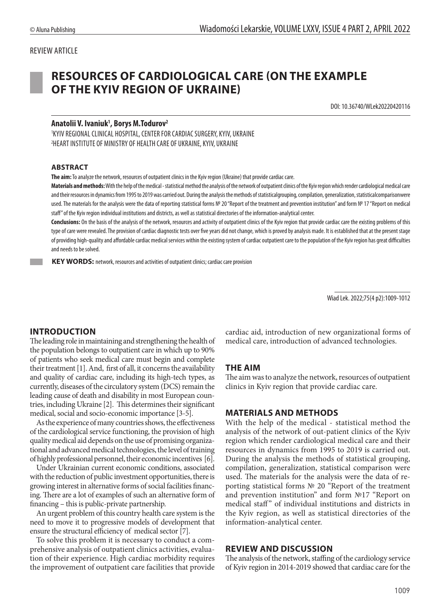### REVIEW ARTICLE

# **RESOURCES OF CARDIOLOGICAL CARE (ON THE EXAMPLE OF THE KYIV REGION OF UKRAINE)**

DOI: 10.36740/WLek20220420116

#### **Anatolii V. Ivaniuk1 , Borys M.Todurov2**

1 KYIV REGIONAL CLINICAL HOSPITAL, CENTER FOR CARDIAC SURGERY, KYIV, UKRAINE 2 HEART INSTITUTE OF MINISTRY OF HEALTH CARE OF UKRAINE, KYIV, UKRAINE

#### **ABSTRACT**

**The aim:** To analyze the network, resources of outpatient clinics in the Kyiv region (Ukraine) that provide cardiac care.

**Materials and methods:** With the help of the medical - statistical method the analysis of the network of outpatient clinics of the Kyiv region which render cardiological medical care and their resources in dynamics from 1995 to 2019 was carried out. During the analysis the methods of statisticalgrouping, compilation, generalization, statisticalcomparisonwere used. The materials for the analysis were the data of reporting statistical forms № 20 "Report of the treatment and prevention institution" and form № 17 "Report on medical staff" of the Kyiv region individual institutions and districts, as well as statistical directories of the information-analytical center.

**Conclusions:** On the basis of the analysis of the network, resources and activity of outpatient clinics of the Kyiv region that provide cardiac care the existing problems of this type of care were revealed. The provision of cardiac diagnostic tests over five years did not change, which is proved by analysis made. It is established that at the present stage of providing high-quality and affordable cardiac medical services within the existing system of cardiac outpatient care to the population of the Kyiv region has great difficulties and needs to be solved.

**KEY WORDS:** network, resources and activities of outpatient clinics; cardiac care provision

Wiad Lek. 2022;75(4 p2):1009-1012

#### **INTRODUCTION**

The leading role in maintaining and strengthening the health of the population belongs to outpatient care in which up to 90% of patients who seek medical care must begin and complete their treatment [1]. And, first of all, it concerns the availability and quality of cardiac care, including its high-tech types, as currently, diseases of the circulatory system (DCS) remain the leading cause of death and disability in most European countries, including Ukraine [2]. This determines their significant medical, social and socio-economic importance [3-5].

As the experience of many countries shows, the effectiveness of the cardiological service functioning, the provision of high quality medical aid depends on the use of promising organizational and advanced medical technologies, the level of training of highly professional personnel, their economic incentives [6].

Under Ukrainian current economic conditions, associated with the reduction of public investment opportunities, there is growing interest in alternative forms of social facilities financing. There are a lot of examples of such an alternative form of financing – this is public-private partnership.

An urgent problem of this country health care system is the need to move it to progressive models of development that ensure the structural efficiency of medical sector [7].

To solve this problem it is necessary to conduct a comprehensive analysis of outpatient clinics activities, evaluation of their experience. High cardiac morbidity requires the improvement of outpatient care facilities that provide cardiac aid, introduction of new organizational forms of medical care, introduction of advanced technologies.

#### **THE AIM**

The aim was to analyze the network, resources of outpatient clinics in Kyiv region that provide cardiac care.

#### **MATERIALS AND METHODS**

With the help of the medical - statistical method the analysis of the network of out-patient clinics of the Kyiv region which render cardiological medical care and their resources in dynamics from 1995 to 2019 is carried out. During the analysis the methods of statistical grouping, compilation, generalization, statistical comparison were used. The materials for the analysis were the data of reporting statistical forms № 20 "Report of the treatment and prevention institution" and form №17 "Report on medical staff" of individual institutions and districts in the Kyiv region, as well as statistical directories of the information-analytical center.

#### **REVIEW AND DISCUSSION**

The analysis of the network, staffing of the cardiology service of Kyiv region in 2014-2019 showed that cardiac care for the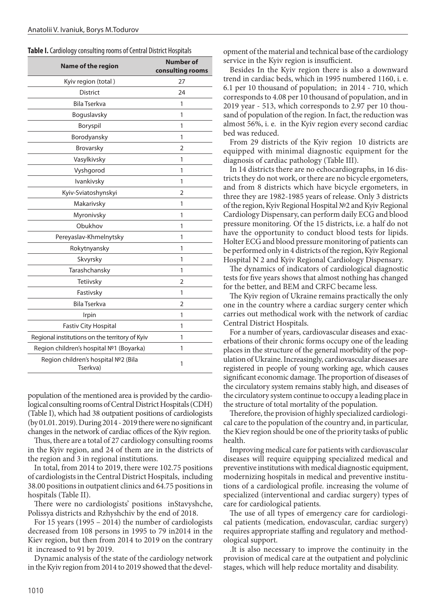|  |  | Table I. Cardiology consulting rooms of Central District Hospitals |  |  |
|--|--|--------------------------------------------------------------------|--|--|
|--|--|--------------------------------------------------------------------|--|--|

| <b>Name of the region</b>                        | <b>Number of</b><br>consulting rooms |  |  |  |
|--------------------------------------------------|--------------------------------------|--|--|--|
| Kyiv region (total)                              | 27                                   |  |  |  |
| <b>District</b>                                  | 24                                   |  |  |  |
| <b>Bila Tserkva</b>                              | 1                                    |  |  |  |
| Boguslavsky                                      | 1                                    |  |  |  |
| Boryspil                                         | 1                                    |  |  |  |
| Borodyansky                                      | 1                                    |  |  |  |
| Brovarsky                                        | 2                                    |  |  |  |
| Vasylkivsky                                      | 1                                    |  |  |  |
| Vyshgorod                                        | 1                                    |  |  |  |
| Ivankivsky                                       | 1                                    |  |  |  |
| Kyiv-Sviatoshynskyi                              | $\overline{2}$                       |  |  |  |
| Makarivsky                                       | 1                                    |  |  |  |
| Myronivsky                                       | 1                                    |  |  |  |
| Obukhov                                          | 1                                    |  |  |  |
| Pereyaslav-Khmelnytsky                           | 1                                    |  |  |  |
| Rokytnyansky                                     | 1                                    |  |  |  |
| Skvyrsky                                         | 1                                    |  |  |  |
| Tarashchansky                                    | 1                                    |  |  |  |
| Tetiivsky                                        | $\overline{2}$                       |  |  |  |
| Fastivsky                                        | 1                                    |  |  |  |
| <b>Bila Tserkva</b>                              | $\overline{2}$                       |  |  |  |
| Irpin                                            | 1                                    |  |  |  |
| <b>Fastiv City Hospital</b>                      | 1                                    |  |  |  |
| Regional institutions on the territory of Kyiv   | 1                                    |  |  |  |
| Region children's hospital Nº1 (Boyarka)         | 1                                    |  |  |  |
| Region children's hospital Nº2 (Bila<br>Tserkva) | 1                                    |  |  |  |

population of the mentioned area is provided by the cardiological consulting rooms of Central District Hospitals (CDH) (Table I), which had 38 outpatient positions of cardiologists (by 01.01. 2019). During 2014 - 2019 there were no significant changes in the network of cardiac offices of the Kyiv region.

Thus, there are a total of 27 cardiology consulting rooms in the Kyiv region, and 24 of them are in the districts of the region and 3 in regional institutions.

In total, from 2014 to 2019, there were 102.75 positions of cardiologists in the Central District Hospitals, including 38.00 positions in outpatient clinics and 64.75 positions in hospitals (Table II).

There were no cardiologists' positions inStavyshche, Polissya districts and Rzhyshchiv by the end of 2018.

For 15 years (1995 – 2014) the number of cardiologists decreased from 108 persons in 1995 to 79 in2014 in the Kiev region, but then from 2014 to 2019 on the contrary it increased to 91 by 2019.

Dynamic analysis of the state of the cardiology network in the Kyiv region from 2014 to 2019 showed that the development of the material and technical base of the cardiology service in the Kyiv region is insufficient.

Besides In the Kyiv region there is also a downward trend in cardiac beds, which in 1995 numbered 1160, i. e. 6.1 per 10 thousand of population; in 2014 - 710, which corresponds to 4.08 per 10 thousand of population, and in 2019 year - 513, which corresponds to 2.97 per 10 thousand of population of the region. In fact, the reduction was almost 56%, i. e. in the Kyiv region every second cardiac bed was reduced.

From 29 districts of the Kyiv region 10 districts are equipped with minimal diagnostic equipment for the diagnosis of cardiac pathology (Table III).

In 14 districts there are no echocardiographs, in 16 districts they do not work, or there are no bicycle ergometers, and from 8 districts which have bicycle ergometers, in three they are 1982-1985 years of release. Only 3 districts of the region, Kyiv Regional Hospital №2 and Kyiv Regional Cardiology Dispensary, can perform daily ECG and blood pressure monitoring. Of the 15 districts, i.e. a half do not have the opportunity to conduct blood tests for lipids. Holter ECG and blood pressure monitoring of patients can be performed only in 4 districts of the region, Kyiv Regional Hospital N 2 and Kyiv Regional Cardiology Dispensary.

The dynamics of indicators of cardiological diagnostic tests for five years shows that almost nothing has changed for the better, and BEM and CRFC became less.

The Kyiv region of Ukraine remains practically the only one in the country where a cardiac surgery center which carries out methodical work with the network of cardiac Central District Hospitals.

For a number of years, cardiovascular diseases and exacerbations of their chronic forms occupy one of the leading places in the structure of the general morbidity of the population of Ukraine. Increasingly, cardiovascular diseases are registered in people of young working age, which causes significant economic damage. The proportion of diseases of the circulatory system remains stably high, and diseases of the circulatory system continue to occupy a leading place in the structure of total mortality of the population.

Therefore, the provision of highly specialized cardiological care to the population of the country and, in particular, the Kiev region should be one of the priority tasks of public health.

Improving medical care for patients with cardiovascular diseases will require equipping specialized medical and preventive institutions with medical diagnostic equipment, modernizing hospitals in medical and preventive institutions of a cardiological profile. increasing the volume of specialized (interventional and cardiac surgery) types of care for cardiological patients.

The use of all types of emergency care for cardiological patients (medication, endovascular, cardiac surgery) requires appropriate staffing and regulatory and methodological support.

.It is also necessary to improve the continuity in the provision of medical care at the outpatient and polyclinic stages, which will help reduce mortality and disability.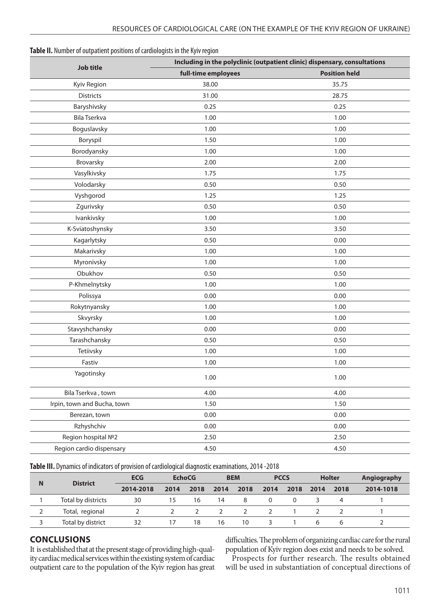| Table II. Number of outpatient positions of cardiologists in the Kyiv region |  |  |  |  |
|------------------------------------------------------------------------------|--|--|--|--|
|------------------------------------------------------------------------------|--|--|--|--|

| <b>Job title</b>            | Including in the polyclinic (outpatient clinic) dispensary, consultations |                      |  |  |  |  |  |
|-----------------------------|---------------------------------------------------------------------------|----------------------|--|--|--|--|--|
|                             | full-time employees                                                       | <b>Position held</b> |  |  |  |  |  |
| Kyiv Region                 | 38.00                                                                     | 35.75                |  |  |  |  |  |
| <b>Districts</b>            | 31.00                                                                     | 28.75                |  |  |  |  |  |
| Baryshivsky                 | 0.25                                                                      | 0.25                 |  |  |  |  |  |
| Bila Tserkva                | 1.00                                                                      | 1.00                 |  |  |  |  |  |
| Boguslavsky                 | 1.00                                                                      | 1.00                 |  |  |  |  |  |
| Boryspil                    | 1.50                                                                      | 1.00                 |  |  |  |  |  |
| Borodyansky                 | 1.00                                                                      | 1.00                 |  |  |  |  |  |
| Brovarsky                   | 2.00                                                                      | 2.00                 |  |  |  |  |  |
| Vasylkivsky                 | 1.75                                                                      | 1.75                 |  |  |  |  |  |
| Volodarsky                  | 0.50                                                                      | 0.50                 |  |  |  |  |  |
| Vyshgorod                   | 1.25                                                                      | 1.25                 |  |  |  |  |  |
| Zgurivsky                   | 0.50                                                                      | 0.50                 |  |  |  |  |  |
| Ivankivsky                  | 1.00                                                                      | 1.00                 |  |  |  |  |  |
| K-Sviatoshynsky             | 3.50                                                                      | 3.50                 |  |  |  |  |  |
| Kagarlytsky                 | 0.50                                                                      | 0.00                 |  |  |  |  |  |
| Makarivsky                  | 1.00                                                                      | 1.00                 |  |  |  |  |  |
| Myronivsky                  | 1.00                                                                      | 1.00                 |  |  |  |  |  |
| Obukhov                     | 0.50                                                                      | 0.50<br>1.00         |  |  |  |  |  |
| P-Khmelnytsky               | 1.00                                                                      |                      |  |  |  |  |  |
| Polissya                    | 0.00                                                                      | 0.00                 |  |  |  |  |  |
| Rokytnyansky                | 1.00                                                                      | 1.00                 |  |  |  |  |  |
| Skvyrsky                    | 1.00                                                                      | 1.00                 |  |  |  |  |  |
| Stavyshchansky              | 0.00                                                                      | 0.00                 |  |  |  |  |  |
| Tarashchansky               | 0.50                                                                      | 0.50                 |  |  |  |  |  |
| Tetiivsky                   | 1.00                                                                      | 1.00                 |  |  |  |  |  |
| Fastiv                      | 1.00                                                                      | 1.00                 |  |  |  |  |  |
| Yagotinsky                  | 1.00                                                                      | 1.00                 |  |  |  |  |  |
| Bila Tserkva, town          | 4.00                                                                      | 4.00                 |  |  |  |  |  |
| Irpin, town and Bucha, town | 1.50                                                                      | 1.50                 |  |  |  |  |  |
| Berezan, town               | 0.00                                                                      | 0.00                 |  |  |  |  |  |
| Rzhyshchiv                  | 0.00                                                                      | 0.00                 |  |  |  |  |  |
| Region hospital Nº2         | 2.50                                                                      | 2.50                 |  |  |  |  |  |
| Region cardio dispensary    | 4.50                                                                      | 4.50                 |  |  |  |  |  |
|                             |                                                                           |                      |  |  |  |  |  |

**Table III.** Dynamics of indicators of provision of cardiological diagnostic examinations, 2014 -2018

| Ν | <b>District</b>    | <b>ECG</b> | <b>EchoCG</b> |      | <b>BEM</b> |      | <b>PCCS</b> |      | <b>Holter</b> |      | Angiography |
|---|--------------------|------------|---------------|------|------------|------|-------------|------|---------------|------|-------------|
|   |                    | 2014-2018  | 2014          | 2018 | 2014       | 2018 | 2014        | 2018 | 2014          | 2018 | 2014-1018   |
|   | Total by districts | 30         | 15            | 16   | 14         | 8    | $\Omega$    | 0    |               |      |             |
|   | Total, regional    |            |               |      |            |      |             |      |               |      |             |
|   | Total by district  | 32         | 17            | 18   | 16         | 10   |             |      | h             | h    |             |

## **CONCLUSIONS**

It is established that at the present stage of providing high-quality cardiac medical services within the existing system of cardiac outpatient care to the population of the Kyiv region has great

difficulties. The problem of organizing cardiac care for the rural population of Kyiv region does exist and needs to be solved.

Prospects for further research. The results obtained will be used in substantiation of conceptual directions of